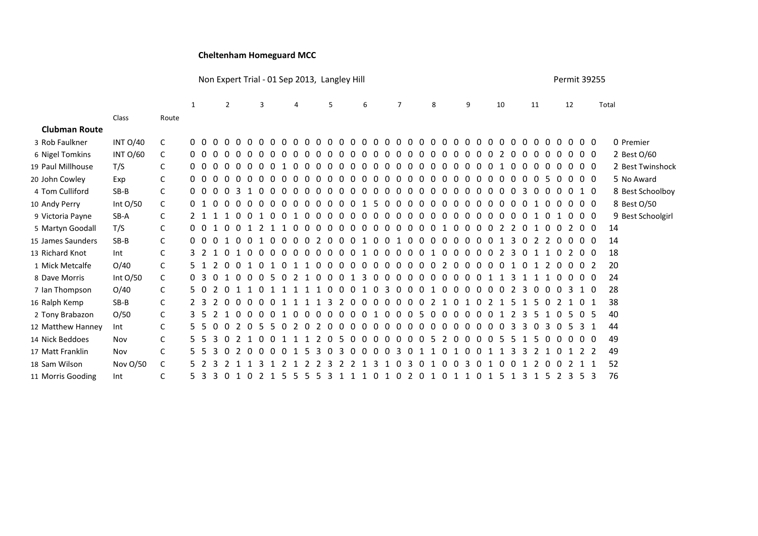## **Cheltenham Homeguard MCC**

Non Expert Trial - 01 Sep 2013, Langley Hill **No. 2008** 2013 20255

|                      |                 |              |                | $\mathbf{1}$   |          | $\overline{2}$ |                           |   | 3 |          | 4        |          |          | 5            |                          |          | 6        |          | $\overline{7}$ |          |          | 8            |          | 9            |                        | 10       |              | 11  |              |               |               | 12             |          |                   | Total          |    |                   |
|----------------------|-----------------|--------------|----------------|----------------|----------|----------------|---------------------------|---|---|----------|----------|----------|----------|--------------|--------------------------|----------|----------|----------|----------------|----------|----------|--------------|----------|--------------|------------------------|----------|--------------|-----|--------------|---------------|---------------|----------------|----------|-------------------|----------------|----|-------------------|
|                      | Class           | Route        |                |                |          |                |                           |   |   |          |          |          |          |              |                          |          |          |          |                |          |          |              |          |              |                        |          |              |     |              |               |               |                |          |                   |                |    |                   |
| <b>Clubman Route</b> |                 |              |                |                |          |                |                           |   |   |          |          |          |          |              |                          |          |          |          |                |          |          |              |          |              |                        |          |              |     |              |               |               |                |          |                   |                |    |                   |
| 3 Rob Faulkner       | <b>INT O/40</b> | C            | 0 O            |                |          |                |                           |   |   | $\Omega$ | $\Omega$ | $\Omega$ | $\Omega$ | $\Omega$     | $\Omega$<br>$\Omega$     | $\Omega$ | $\Omega$ | $\Omega$ | $\Omega$       | $\Omega$ | $\Omega$ | $\Omega$     | $\Omega$ | $\Omega$     | $\Omega$<br>റ          | $\Omega$ | $\Omega$     | റ   | $\Omega$     | $\Omega$      | റ             | - 0            |          | $0\,0\,0$         |                |    | 0 Premier         |
| 6 Nigel Tomkins      | <b>INT O/60</b> | C            |                | $0\quad 0$     | $\Omega$ |                |                           |   |   |          |          |          |          |              |                          |          |          |          |                |          |          |              |          | $\mathbf{U}$ |                        |          |              |     | 0            | $\Omega$      |               |                | $\Omega$ | $0\quad0$         |                |    | 2 Best 0/60       |
| 19 Paul Millhouse    | T/S             | C            |                | 0 <sub>0</sub> | $\Omega$ |                |                           |   |   |          |          |          |          |              |                          |          |          |          |                |          | n        |              |          | n            |                        |          |              |     | $\Omega$     | 0             |               | $\Omega$       |          | $0\quad0\quad0$   |                |    | 2 Best Twinshock  |
| 20 John Cowley       | Exp             | C            | 0 <sub>0</sub> |                | $\Omega$ |                |                           |   |   |          |          |          |          | n            |                          | n        |          | $\Omega$ | n              |          | n        | <sup>n</sup> |          | <sup>n</sup> | <sup>n</sup>           | n        | <sup>n</sup> | - 0 | $\Omega$     | $\Omega$      | -5.           | $\overline{0}$ |          | $0\quad 0\quad 0$ |                |    | 5 No Award        |
| 4 Tom Culliford      | $SB-B$          | C            |                | 0 O            | $\Omega$ |                |                           |   |   |          |          |          | n        | $\Omega$     | <sup>n</sup><br>$\Omega$ | 0        | n        | $\Omega$ | $\Omega$       |          | $\Omega$ | 0            |          | $\Omega$     | <sup>0</sup><br>$\cap$ | $\Omega$ | <sup>0</sup> |     | 3            | 0             |               | $\Omega$       |          | 0 1 0             |                |    | 8 Best Schoolboy  |
| 10 Andy Perry        | Int O/50        | C            |                |                | $\Omega$ | $\Omega$       |                           |   |   | $\Omega$ |          |          | $\Omega$ | n            |                          |          |          | $\Omega$ |                |          | n        |              |          | $\Omega$     |                        | $\Omega$ | 0            |     | $\Omega$     |               |               | $\Omega$       |          | $0\quad0\quad0$   |                |    | 8 Best 0/50       |
| 9 Victoria Payne     | SB-A            | C            |                |                |          |                |                           |   |   |          |          |          |          |              |                          |          |          |          | 0              |          | n        | 0            |          | n            |                        | n        |              |     | 0            |               |               |                |          | $0\quad 0$        |                |    | 9 Best Schoolgirl |
| 5 Martyn Goodall     | T/S             | C            | 0 <sub>0</sub> |                |          |                |                           |   |   |          |          |          |          |              |                          |          |          |          |                |          |          |              |          |              |                        |          |              |     |              |               |               |                |          | $\Omega$          | $\overline{0}$ | 14 |                   |
| 15 James Saunders    | $SB-B$          | $\mathsf{C}$ | n n            |                |          |                |                           |   |   |          |          |          | 2        | n            | n<br>n                   | 1        |          | n        | 1              |          | $\Omega$ | 0            | n        | $\Omega$     | 0<br>$\Omega$          | n        |              |     | $\Omega$     | $\mathcal{L}$ | $\mathcal{L}$ | $\Omega$       |          | $0\quad 0\quad 0$ |                | 14 |                   |
| 13 Richard Knot      | Int             | C            | 3              | $\overline{2}$ |          |                |                           |   |   |          |          |          | $\Omega$ | $\Omega$     | $\Omega$                 | -1       | 0        | -0       | $\Omega$       |          | $\Omega$ | 1            |          | $\Omega$     | 0                      | $\Omega$ |              |     |              |               |               | n              |          | 0 <sub>0</sub>    |                | 18 |                   |
| 1 Mick Metcalfe      | O/40            | C            |                |                | 2        | $\Omega$       | $\Omega$                  |   |   |          |          |          | $\Omega$ | <sup>0</sup> | n                        |          |          | $\Omega$ | n              |          | n        |              |          | <sup>n</sup> | <sup>n</sup>           | $\Omega$ | <sup>n</sup> |     | <sup>n</sup> |               |               | $\Omega$       | $\Omega$ | $\Omega$          | 2              | 20 |                   |
| 8 Dave Morris        | Int O/50        | C            | 0              | -3             |          |                |                           |   |   |          |          |          |          |              |                          |          |          |          |                |          | n        |              |          |              |                        |          |              |     |              |               |               |                |          | 00                |                | 24 |                   |
| 7 Ian Thompson       | O/40            | C            | 50             |                |          |                |                           |   |   |          |          |          |          |              |                          |          |          |          |                |          |          |              |          |              |                        |          |              |     |              |               |               |                |          |                   | - 0            | 28 |                   |
| 16 Ralph Kemp        | $SB-B$          | C            | 23             |                | 2        |                |                           |   |   |          |          |          |          | 3            | $\Omega$                 | $\Omega$ | n        | $\Omega$ | 0              | - 0      | $\Omega$ | 2            |          | $\Omega$     |                        |          |              |     |              | 5             |               |                |          | $\Omega$          |                | 38 |                   |
| 2 Tony Brabazon      | O/50            | C            |                | - 5            | 2        |                |                           |   |   |          |          |          |          | <sup>0</sup> | $\Omega$                 | $\Omega$ |          | n        | 0              |          | .5       | 0            |          | $\Omega$     | <sup>0</sup>           |          |              |     | 3            | 5             |               | U              | 5.       | $\Omega$          | .5             | 40 |                   |
| 12 Matthew Hanney    | Int             | C            |                |                | $\Omega$ |                | $\Omega$<br>$\mathcal{L}$ | 5 |   |          | 2        |          | ာ        |              | $\Omega$                 | 0        |          | $\Omega$ | n              |          | n        |              |          | <sup>n</sup> | <sup>n</sup>           | n        | <sup>n</sup> |     | З            | 0             | З             | $\Omega$       | 5.       | 3                 | -1             | 44 |                   |
| 14 Nick Beddoes      | Nov             | C            | 5.             | -5             | 3        |                |                           |   |   |          |          |          |          |              |                          | 0        |          | $\Omega$ | 0              |          | $\Omega$ | 5            |          | $\Omega$     |                        | 0        |              |     |              |               |               |                |          | 00                |                | 49 |                   |
| 17 Matt Franklin     | Nov             | C            |                |                |          |                |                           |   |   |          |          |          |          |              |                          |          |          |          |                |          |          |              |          |              |                        |          |              |     |              |               |               |                |          |                   | 2              | 49 |                   |
| 18 Sam Wilson        | Nov O/50        | C            |                |                | 3        |                |                           |   |   |          |          |          |          |              |                          |          |          |          |                |          |          |              |          | n            | 3                      |          |              |     |              |               |               |                |          |                   |                | 52 |                   |
| 11 Morris Gooding    | Int             | C            | 5.             | 3              | 3        |                |                           |   |   |          | 5        |          | 5        |              |                          |          |          |          |                |          | $\Omega$ |              |          |              |                        |          | 5            |     | 3            |               |               | 2              | 3        | 5.                | 3              | 76 |                   |
|                      |                 |              |                |                |          |                |                           |   |   |          |          |          |          |              |                          |          |          |          |                |          |          |              |          |              |                        |          |              |     |              |               |               |                |          |                   |                |    |                   |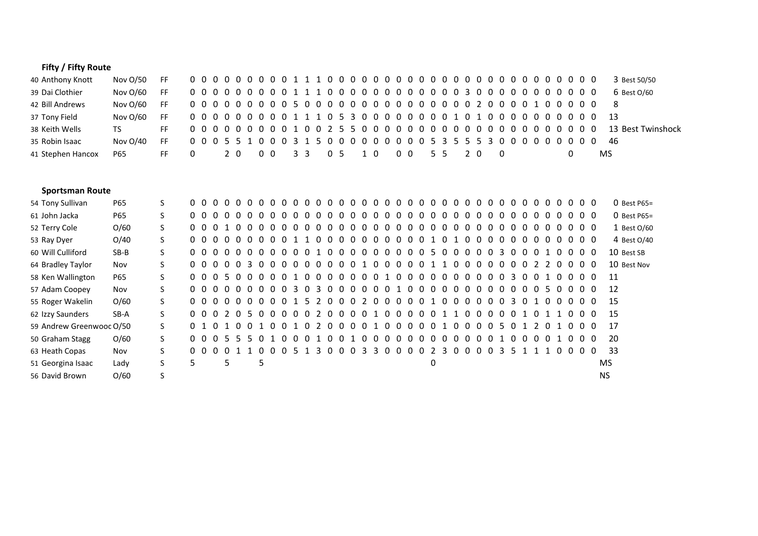## **Fifty / Fifty Route**

| 40 Anthony Knott  | Nov O/50 | FF  |  |  |  |  |  |  |  |  |                                         |  |  |  |  |     |  |  |  |  |    | 3 Best 50/50      |
|-------------------|----------|-----|--|--|--|--|--|--|--|--|-----------------------------------------|--|--|--|--|-----|--|--|--|--|----|-------------------|
| 39 Dai Clothier   | Nov O/60 | FF. |  |  |  |  |  |  |  |  |                                         |  |  |  |  |     |  |  |  |  |    | 6 Best 0/60       |
| 42 Bill Andrews   | Nov O/60 | FF. |  |  |  |  |  |  |  |  |                                         |  |  |  |  |     |  |  |  |  |    | - 8               |
| 37 Tony Field     | Nov O/60 | FF  |  |  |  |  |  |  |  |  | 000000000111053000000001010000000000013 |  |  |  |  |     |  |  |  |  |    |                   |
| 38 Keith Wells    | TS.      | FF. |  |  |  |  |  |  |  |  |                                         |  |  |  |  |     |  |  |  |  |    | 13 Best Twinshock |
| 35 Robin Isaac    | Nov O/40 | FF. |  |  |  |  |  |  |  |  |                                         |  |  |  |  |     |  |  |  |  |    | -46               |
| 41 Stephen Hancox | P65      | FF. |  |  |  |  |  |  |  |  |                                         |  |  |  |  | - 0 |  |  |  |  | MS |                   |

## **Sportsman Route**

| 54 Tony Sullivan         | P65    |    |     |                        |      |                          |          |           | 0 0 0 0 0 0 0 0 0 0 0 0       |                |          |          |                |          |     | 00000000000    |           |     |                |                |              | $0\,0\,0$      |          |          | 0 <sub>0</sub> |                | - റ               |     |                |                | $0\;0\;0\;0$ | $0\,0\,0$       |  |           | $O$ Best P65= |
|--------------------------|--------|----|-----|------------------------|------|--------------------------|----------|-----------|-------------------------------|----------------|----------|----------|----------------|----------|-----|----------------|-----------|-----|----------------|----------------|--------------|----------------|----------|----------|----------------|----------------|-------------------|-----|----------------|----------------|--------------|-----------------|--|-----------|---------------|
| 61 John Jacka            | P65    | S. |     |                        |      | 0000000                  |          | $0\,0\,0$ |                               | $\overline{0}$ | $\Omega$ | $\Omega$ | $\overline{0}$ |          |     | 000000         |           |     | 0 <sub>0</sub> |                | $\mathbf{0}$ | 0 <sub>0</sub> |          | - 0      | $\Omega$       | $\overline{0}$ | $\Omega$          |     | 0 <sub>0</sub> | $\Omega$       | റ            | $0\quad0\quad0$ |  |           | $O$ Best P65= |
| 52 Terry Cole            | O/60   | S. |     |                        |      | 0001000                  |          |           | 00000                         |                |          |          |                |          |     | 00000000000    |           |     |                |                |              | $0\,0\,0$      |          |          | $0\quad 0$     |                | $\cdot$ 0 $\cdot$ |     |                |                | $0\,0\,0\,0$ | 000             |  |           | 1 Best O/60   |
| 53 Ray Dyer              | O/40   | S. |     | $0\quad 0\quad 0\quad$ |      | $0\,0\,0\,0$             |          |           | 0 0 1 1                       |                | - 0      | $\Omega$ |                |          |     | 00000000       |           |     |                | 10             |              | $\overline{1}$ | - റ      | $\Omega$ | $\Omega$       | $\overline{0}$ | $\Omega$          |     | 0 <sub>0</sub> | റ              | - റ          | $0\quad0\quad0$ |  |           | 4 Best 0/40   |
| 60 Will Culliford        | $SB-B$ | S. |     |                        |      | 0000000                  |          |           | 00001                         |                |          |          |                |          |     | 00000000050000 |           |     |                |                |              |                |          |          | $\Omega$       | -3             | - 0               |     |                |                | 0010         | 000             |  |           | 10 Best SB    |
| 64 Bradley Taylor        | Nov    | S. |     | $0\quad 0\quad 0\quad$ |      | $0\quad 0\quad 3\quad 0$ |          |           | $0\quad 0\quad 0\quad 0$      |                | $\Omega$ | $\Omega$ |                |          |     | 0010000011     |           |     |                |                |              | $-0$           | $\Omega$ | 0        | $\Omega$       | - 0            | -0                |     | 0 <sub>2</sub> | $\overline{2}$ | റ            | 000             |  |           | 10 Best Nov   |
| 58 Ken Wallington        | P65    | S. |     |                        |      | 0005000                  |          | 001       |                               | റ റ            |          | റ        | - റ            |          |     | 0001           |           |     | 0000           |                | 0            | 00             |          | - റ      | 0 O            |                | -3                |     | <u>ດ ດ</u>     |                | . വ          | 000             |  |           | 11            |
| 57 Adam Coopey           | Nov    | S. |     |                        |      | 0000000                  |          |           | 0 0 3 0 3 0 0 0 0 0 0 1 0 0 0 |                |          |          |                |          |     |                |           |     |                |                |              | $0\,0\,0$      |          | - 0      | 0 <sub>0</sub> |                | $\Omega$          |     |                |                | 0050         | 000             |  |           | 12            |
| 55 Roger Wakelin         | O/60   | S. |     |                        |      | 0000000                  |          |           | 0 0 1 5 2                     |                |          |          |                |          |     | 0002000001000  |           |     |                |                |              |                |          | - റ      | 00             |                | -3                | 0 1 |                | റ              | _റ           | 000             |  |           | 15            |
| 62 Izzy Saunders         | SB-A   | S. |     |                        |      | 0002050                  |          |           | 00002                         |                |          |          |                |          |     | 0000100000110  |           |     |                |                |              |                |          | - 0      | 00             |                |                   |     | 01011          |                |              | 000             |  |           | 15            |
| 59 Andrew Greenwood O/50 |        | S. | 0 1 |                        |      |                          |          | 0 O       | $\overline{1}$                | 02             |          | $\Omega$ | - റ            | $\Omega$ | 0 1 |                |           |     | 00000100       |                |              |                |          | - 0      | $\Omega$       | 5 O            |                   | 1 2 |                | റ              |              | 000             |  |           | 17            |
| 50 Graham Stagg          | O/60   | S. |     |                        | 0005 | 550                      |          |           | 10001                         |                |          |          |                |          |     | 0010000000000  |           |     |                |                |              |                |          | - 0      | 0 <sub>1</sub> |                | - റ               |     | 0 O            |                | 01           | 000             |  |           | 20            |
| 63 Heath Copas           | Nov    | S. | 0 O |                        |      |                          | $\Omega$ | $\Omega$  |                               |                |          |          | $\Omega$       | n        | 3.  | 3              | $\cdot$ 0 | 0 O | $\Omega$       | $\overline{2}$ | $\mathbf{R}$ | $\Omega$       | $\Omega$ | $\Omega$ | $\Omega$       | 3              |                   |     |                |                |              |                 |  |           | 33            |
| 51 Georgina Isaac        | Lady   | S. | 5.  |                        | 5    |                          | 5        |           |                               |                |          |          |                |          |     |                |           |     |                | 0              |              |                |          |          |                |                |                   |     |                |                |              |                 |  | MS.       |               |
| 56 David Brown           | O/60   |    |     |                        |      |                          |          |           |                               |                |          |          |                |          |     |                |           |     |                |                |              |                |          |          |                |                |                   |     |                |                |              |                 |  | <b>NS</b> |               |